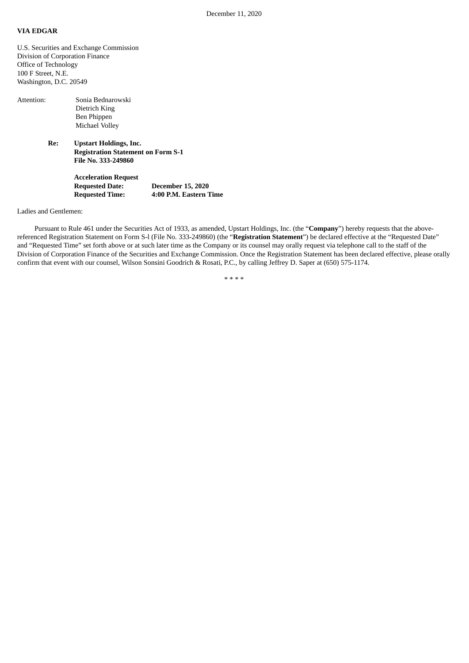## **VIA EDGAR**

U.S. Securities and Exchange Commission Division of Corporation Finance Office of Technology 100 F Street, N.E. Washington, D.C. 20549

| Attention: | Sonia Bednarowski<br>Dietrich King<br>Ben Phippen<br>Michael Volley                               |
|------------|---------------------------------------------------------------------------------------------------|
| Re:        | <b>Upstart Holdings, Inc.</b><br><b>Registration Statement on Form S-1</b><br>File No. 333-249860 |
|            | <b>Acceleration Request</b>                                                                       |

**Requested Date: December 15, 2020 Requested Time: 4:00 P.M. Eastern Time**

Ladies and Gentlemen:

Pursuant to Rule 461 under the Securities Act of 1933, as amended, Upstart Holdings, Inc. (the "**Company**") hereby requests that the abovereferenced Registration Statement on Form S-l (File No. 333-249860) (the "**Registration Statement**") be declared effective at the "Requested Date" and "Requested Time" set forth above or at such later time as the Company or its counsel may orally request via telephone call to the staff of the Division of Corporation Finance of the Securities and Exchange Commission. Once the Registration Statement has been declared effective, please orally confirm that event with our counsel, Wilson Sonsini Goodrich & Rosati, P.C., by calling Jeffrey D. Saper at (650) 575-1174.

\* \* \* \*